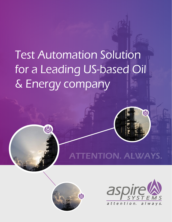# Test Automation Solution for a Leading US-based Oil & Energy company







W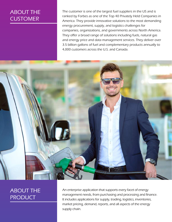#### ABOUT THE **CUSTOMER**

The customer is one of the largest fuel suppliers in the US and is ranked by Forbes as one of the Top 40 Privately Held Companies in America. They provide innovative solutions to the most demanding energy procurement, supply, and logistics challenges for companies, organizations, and governments across North America. They offer a broad range of solutions including fuels, natural gas and energy price and data management services. They deliver over 3.5 billion gallons of fuel and complementary products annually to 4,000 customers across the U.S. and Canada.



#### ABOUT THE **PRODUCT**

An enterprise application that supports every facet of energy management needs, from purchasing and processing and finance. It includes applications for supply, trading, logistics, inventories, market pricing, demand, reports, and all aspects of the energy supply chain.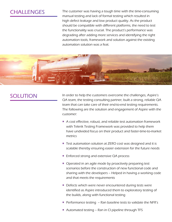#### **CHALLENGES**

The customer was having a tough time with the time-consuming manual testing and lack of formal testing which resulted in high defect leakage and low product quality. As the product should be compatible with different platforms, the need to test the functionality was crucial. The product's performance was degrading after adding more services and identifying the right automation tools, framework and solution against the existing automation solution was a feat.



#### SOLUTION

In order to help the customers overcome the challenges, Aspire's QA team, the testing consulting partner, built a strong, reliable QA team that can take care of their end-to-end testing requirements. The following are the solution and engagement of Aspire with the customer:

- A cost effective, robust, and reliable test automation framework with Telerik Testing Framework was provided to help them have undivided focus on their product and faster-time-to-market metrics
- Test automation solution at ZERO cost was designed and it is scalable thereby ensuring easier extension for the future needs
- Enforced strong and extensive QA process
- Operated in an agile mode by proactively preparing test scenarios before the construction of new functional code and sharing with the developers – Helped in having a working code and that meets the requirements
- Defects which were never encountered during tests were identified as Aspire introduced them to exploratory testing of the builds, along with functional testing
- Performance testing  $-$  Ran baseline tests to validate the NFR's
- Automated testing Ran in CI pipeline through TFS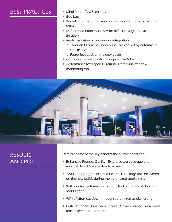### BEST PRACTICES **Mind Map - Test Scenarios**

- 
- Bug bash
- Knowledge sharing session on the new features across the team
- Defect Prevention Plan: RCA on defect leakage for each iteration
- **Inplementation of continuous integration** 
	- o Through CI practice, new builds are verified by automated smoke tests
	- o Faster feedback on the new builds
- Continuous code quality through SonarQube
- **Performance test reports Grafana : Data visualization &** monitoring tool



### RESULTS AND ROI

Here are some of the key benefits the customer derived:

- **Enhanced Product Quality Extensive test coverage and** minimal defect leakage: less than 4%
- 1200+ bugs logged in a release and 100+ bugs are uncovered on the new builds during the automated smoke tests
- With our test automation solution, tool cost was cut down by \$5000/year
- 90% of effort cut down through automated smoke testing
- **Faster feedback: Bugs were reported in an average turnaround** time of less than 1.5 hours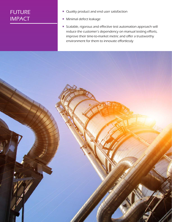### FUTURE IMPACT

- Quality product and end user satisfaction
- **Minimal defect leakage**
- Scalable, rigorous and effective test automation approach will reduce the customer's dependency on manual testing efforts, improve their time-to-market metric and offer a trustworthy environment for them to innovate effortlessly